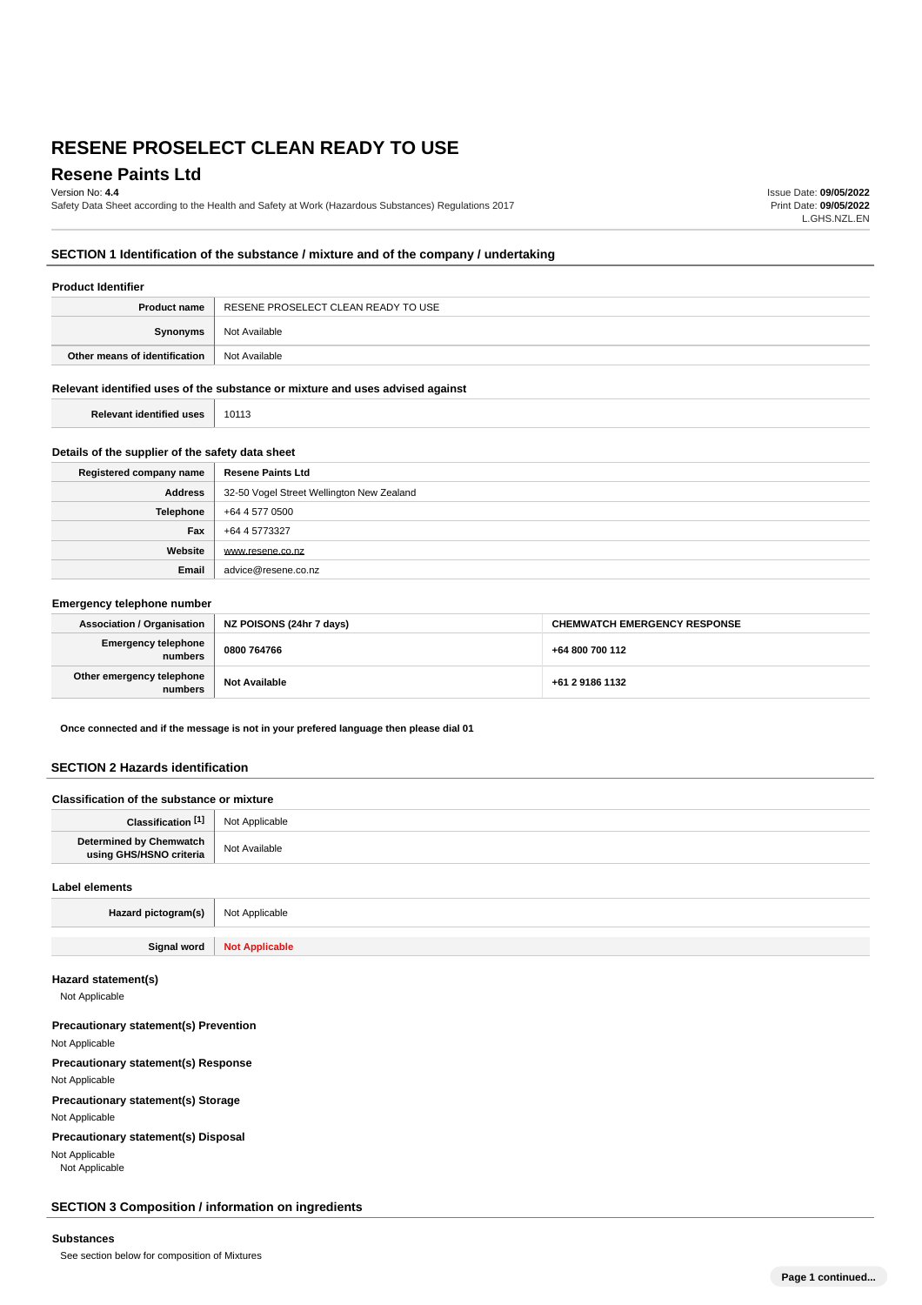## **Resene Paints Ltd**

Version No: **4.4**

Safety Data Sheet according to the Health and Safety at Work (Hazardous Substances) Regulations 2017

Issue Date: **09/05/2022** Print Date: **09/05/2022** L.GHS.NZL.EN

## **SECTION 1 Identification of the substance / mixture and of the company / undertaking**

#### **Product Identifier**

| <b>Product name</b>           | RESENE PROSELECT CLEAN READY TO USE |
|-------------------------------|-------------------------------------|
| Synonyms                      | Not Available                       |
| Other means of identification | Not Available                       |

## **Relevant identified uses of the substance or mixture and uses advised against**

T

| <b>Relevant identified uses</b><br>10113 |
|------------------------------------------|
|------------------------------------------|

## **Details of the supplier of the safety data sheet**

| Registered company name | <b>Resene Paints Ltd</b>                  |
|-------------------------|-------------------------------------------|
| Address                 | 32-50 Vogel Street Wellington New Zealand |
| Telephone               | +64 4 577 0500                            |
| Fax                     | +64 4 5773327                             |
| Website                 | www.resene.co.nz                          |
| Email                   | advice@resene.co.nz                       |

#### **Emergency telephone number**

| Association / Organisation            | NZ POISONS (24hr 7 days) | <b>CHEMWATCH EMERGENCY RESPONSE</b> |
|---------------------------------------|--------------------------|-------------------------------------|
| <b>Emergency telephone</b><br>numbers | 0800 764766              | +64 800 700 112                     |
| Other emergency telephone<br>numbers  | <b>Not Available</b>     | +61 2 9186 1132                     |

**Once connected and if the message is not in your prefered language then please dial 01**

## **SECTION 2 Hazards identification**

| Classification of the substance or mixture         |                |
|----------------------------------------------------|----------------|
| Classification [1]                                 | Not Applicable |
| Determined by Chemwatch<br>using GHS/HSNO criteria | Not Available  |
|                                                    |                |

# **Label elements Hazard pictogram(s)** Not Applicable **Signal word Not Applicable**

**Hazard statement(s)**

Not Applicable

## **Precautionary statement(s) Prevention**

Not Applicable **Precautionary statement(s) Response** Not Applicable **Precautionary statement(s) Storage**

Not Applicable

**Precautionary statement(s) Disposal**

Not Applicable

Not Applicable

## **SECTION 3 Composition / information on ingredients**

## **Substances**

See section below for composition of Mixtures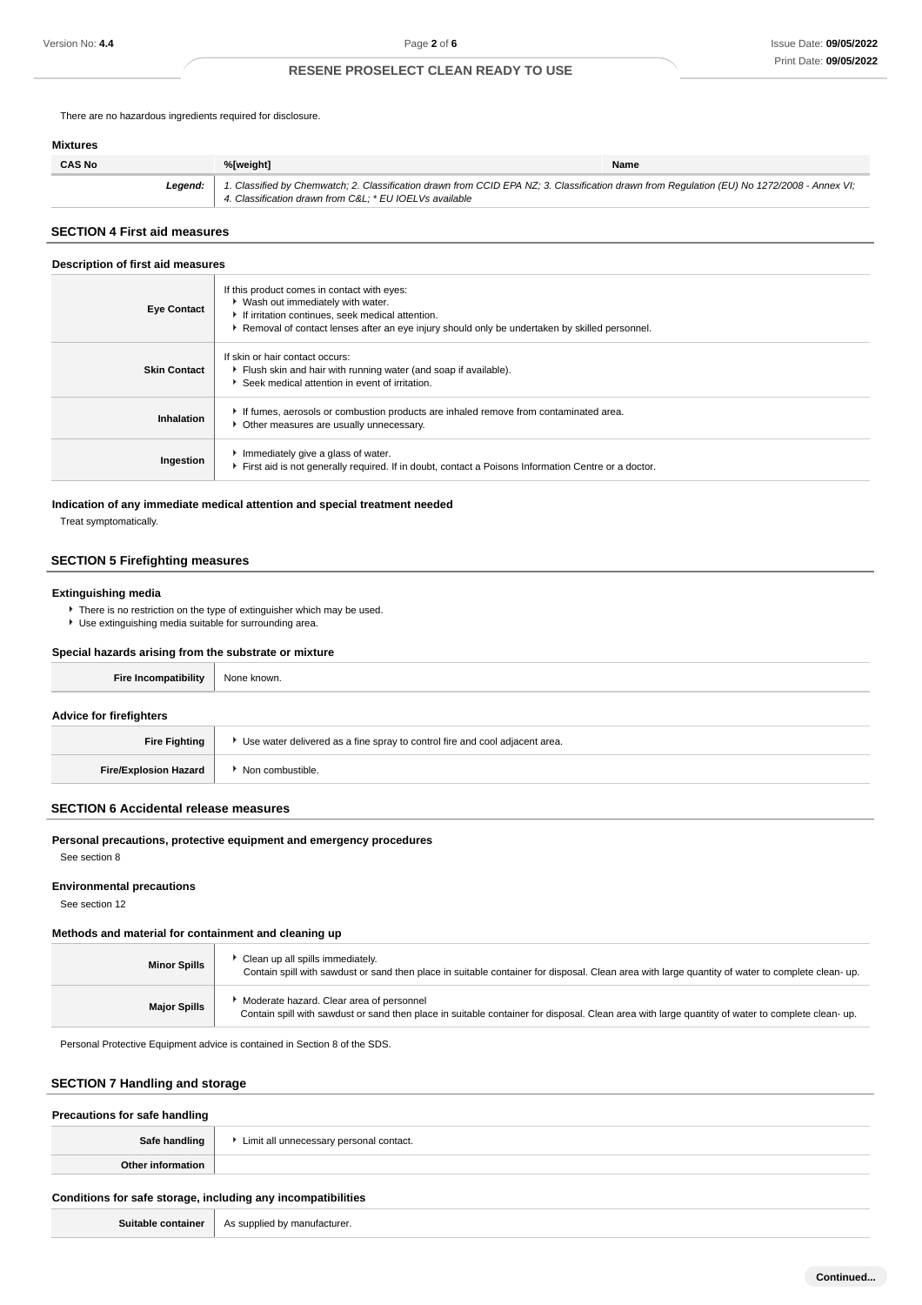There are no hazardous ingredients required for disclosure.

## **Mixtures**

| <b>CAS No</b> | %[weight]                                                                                                                                                                                             | Name |
|---------------|-------------------------------------------------------------------------------------------------------------------------------------------------------------------------------------------------------|------|
| Leaend:       | 1. Classified by Chemwatch; 2. Classification drawn from CCID EPA NZ; 3. Classification drawn from Requlation (EU) No 1272/2008 - Annex VI;<br>4. Classification drawn from C&L * EU IOELVs available |      |

## **SECTION 4 First aid measures**

#### **Description of first aid measures**

| <b>Eye Contact</b>  | If this product comes in contact with eyes:<br>▶ Wash out immediately with water.<br>If irritation continues, seek medical attention.<br>▶ Removal of contact lenses after an eye injury should only be undertaken by skilled personnel. |
|---------------------|------------------------------------------------------------------------------------------------------------------------------------------------------------------------------------------------------------------------------------------|
| <b>Skin Contact</b> | If skin or hair contact occurs:<br>Flush skin and hair with running water (and soap if available).<br>Seek medical attention in event of irritation.                                                                                     |
| Inhalation          | If fumes, aerosols or combustion products are inhaled remove from contaminated area.<br>• Other measures are usually unnecessary.                                                                                                        |
| Ingestion           | Immediately give a glass of water.<br>First aid is not generally required. If in doubt, contact a Poisons Information Centre or a doctor.                                                                                                |

## **Indication of any immediate medical attention and special treatment needed**

Treat symptomatically.

## **SECTION 5 Firefighting measures**

#### **Extinguishing media**

▶ There is no restriction on the type of extinguisher which may be used. Use extinguishing media suitable for surrounding area.

## **Special hazards arising from the substrate or mixture**

| None known.                                                                   |  |
|-------------------------------------------------------------------------------|--|
|                                                                               |  |
| ▶ Use water delivered as a fine spray to control fire and cool adjacent area. |  |
| ▶ Non combustible.                                                            |  |
|                                                                               |  |

## **SECTION 6 Accidental release measures**

## **Personal precautions, protective equipment and emergency procedures**

See section 8

#### **Environmental precautions**

See section 12

## **Methods and material for containment and cleaning up**

| <b>Minor Spills</b> | Clean up all spills immediately.<br>Contain spill with sawdust or sand then place in suitable container for disposal. Clean area with large quantity of water to complete clean-up.         |
|---------------------|---------------------------------------------------------------------------------------------------------------------------------------------------------------------------------------------|
| <b>Major Spills</b> | Moderate hazard. Clear area of personnel<br>Contain spill with sawdust or sand then place in suitable container for disposal. Clean area with large quantity of water to complete clean-up. |

Personal Protective Equipment advice is contained in Section 8 of the SDS.

## **SECTION 7 Handling and storage**

| Precautions for safe handling |                                         |
|-------------------------------|-----------------------------------------|
| Safe handling                 | Limit all unnecessary personal contact. |
| Other information             |                                         |
|                               |                                         |

## **Conditions for safe storage, including any incompatibilities**

**Suitable container** As supplied by manufacturer.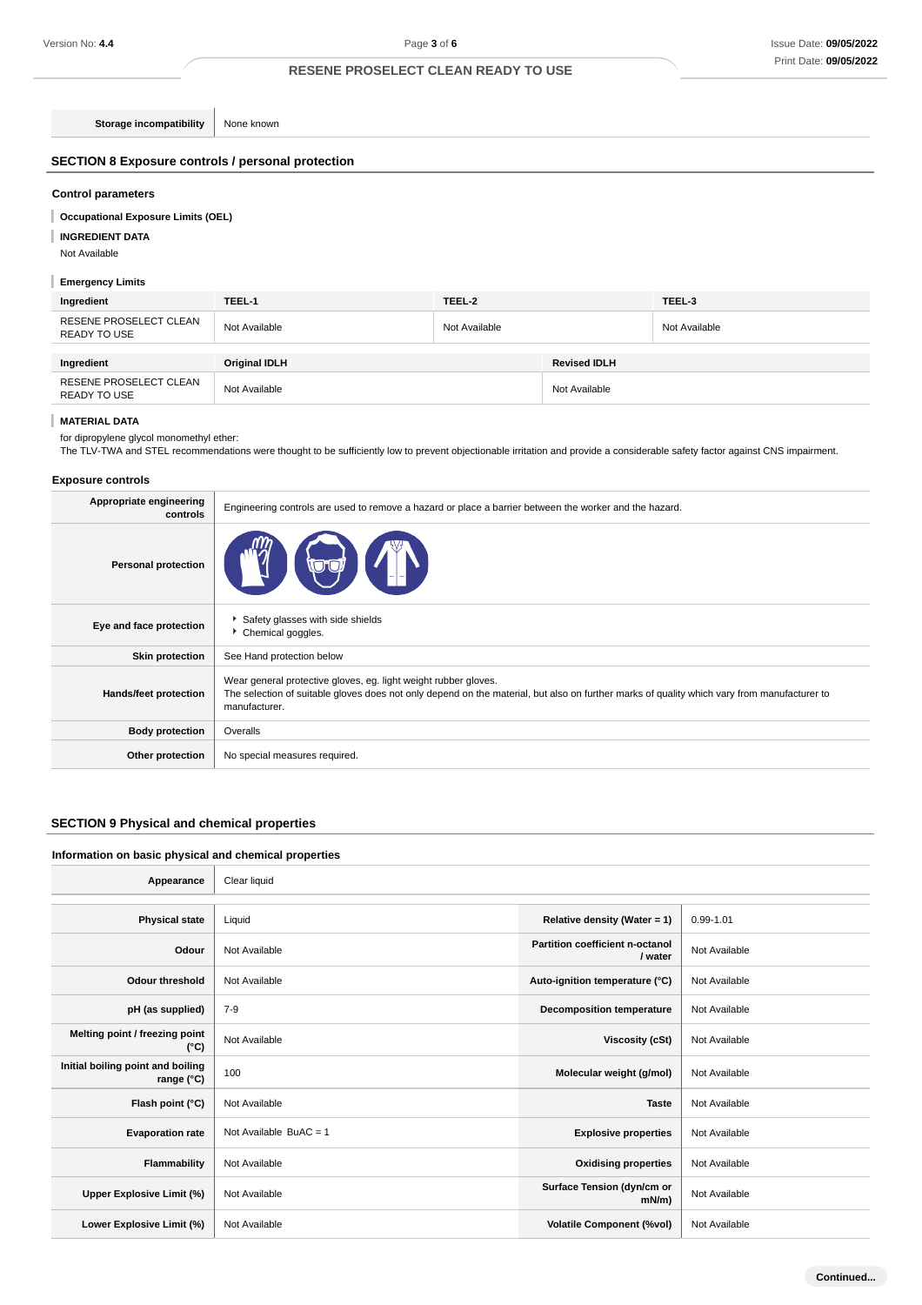**Storage incompatibility** None known

## **SECTION 8 Exposure controls / personal protection**

## **Control parameters**

#### I **Occupational Exposure Limits (OEL)**

**INGREDIENT DATA** I

Not Available

## **Emergency Limits**

| Ingredient                             | TEEL-1        | TEEL-2        |                     | TEEL-3        |
|----------------------------------------|---------------|---------------|---------------------|---------------|
| RESENE PROSELECT CLEAN<br>READY TO USE | Not Available | Not Available |                     | Not Available |
|                                        |               |               |                     |               |
| Ingredient                             | Original IDLH |               | <b>Revised IDLH</b> |               |
| RESENE PROSELECT CLEAN<br>READY TO USE | Not Available |               | Not Available       |               |

## **MATERIAL DATA**

for dipropylene glycol monomethyl ether:

The TLV-TWA and STEL recommendations were thought to be sufficiently low to prevent objectionable irritation and provide a considerable safety factor against CNS impairment.

## **Exposure controls**

| Appropriate engineering<br>controls | Engineering controls are used to remove a hazard or place a barrier between the worker and the hazard.                                                                                                                          |
|-------------------------------------|---------------------------------------------------------------------------------------------------------------------------------------------------------------------------------------------------------------------------------|
| <b>Personal protection</b>          |                                                                                                                                                                                                                                 |
| Eye and face protection             | Safety glasses with side shields<br>Chemical goggles.                                                                                                                                                                           |
| <b>Skin protection</b>              | See Hand protection below                                                                                                                                                                                                       |
| Hands/feet protection               | Wear general protective gloves, eg. light weight rubber gloves.<br>The selection of suitable gloves does not only depend on the material, but also on further marks of quality which vary from manufacturer to<br>manufacturer. |
| <b>Body protection</b>              | Overalls                                                                                                                                                                                                                        |
| Other protection                    | No special measures required.                                                                                                                                                                                                   |

## **SECTION 9 Physical and chemical properties**

## **Information on basic physical and chemical properties**

٦

| Appearance                                      | Clear liquid             |                                            |               |
|-------------------------------------------------|--------------------------|--------------------------------------------|---------------|
|                                                 |                          |                                            |               |
| <b>Physical state</b>                           | Liquid                   | Relative density (Water = 1)               | 0.99-1.01     |
| Odour                                           | Not Available            | Partition coefficient n-octanol<br>/ water | Not Available |
| <b>Odour threshold</b>                          | Not Available            | Auto-ignition temperature (°C)             | Not Available |
| pH (as supplied)                                | $7-9$                    | <b>Decomposition temperature</b>           | Not Available |
| Melting point / freezing point<br>(°C)          | Not Available            | Viscosity (cSt)                            | Not Available |
| Initial boiling point and boiling<br>range (°C) | 100                      | Molecular weight (g/mol)                   | Not Available |
| Flash point (°C)                                | Not Available            | <b>Taste</b>                               | Not Available |
| <b>Evaporation rate</b>                         | Not Available BuAC = $1$ | <b>Explosive properties</b>                | Not Available |
| Flammability                                    | Not Available            | <b>Oxidising properties</b>                | Not Available |
| Upper Explosive Limit (%)                       | Not Available            | Surface Tension (dyn/cm or<br>mN/m)        | Not Available |
| Lower Explosive Limit (%)                       | Not Available            | <b>Volatile Component (%vol)</b>           | Not Available |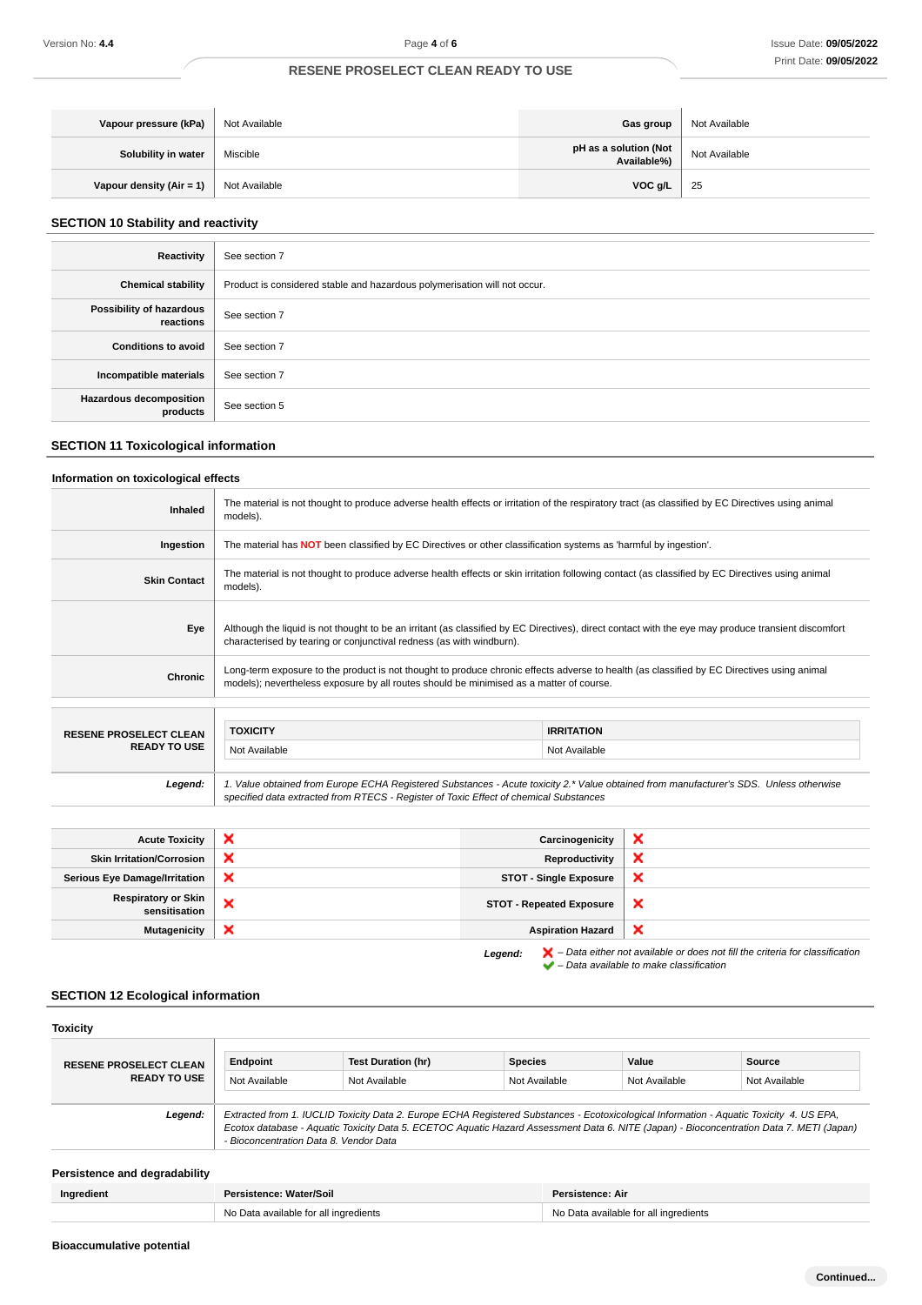| Vapour pressure (kPa)    | Not Available | Gas group                                 | Not Available |
|--------------------------|---------------|-------------------------------------------|---------------|
| Solubility in water      | Miscible      | pH as a solution (Not $\vert$ Available%) | Not Available |
| Vapour density (Air = 1) | Not Available | VOC g/L                                   | - 25          |

## **SECTION 10 Stability and reactivity**

| Reactivity                                 | See section 7                                                             |
|--------------------------------------------|---------------------------------------------------------------------------|
| <b>Chemical stability</b>                  | Product is considered stable and hazardous polymerisation will not occur. |
| Possibility of hazardous<br>reactions      | See section 7                                                             |
| <b>Conditions to avoid</b>                 | See section 7                                                             |
| Incompatible materials                     | See section 7                                                             |
| <b>Hazardous decomposition</b><br>products | See section 5                                                             |

## **SECTION 11 Toxicological information**

## **Information on toxicological effects**

| Inhaled                       | The material is not thought to produce adverse health effects or irritation of the respiratory tract (as classified by EC Directives using animal<br>models).                                                                         |                                                                                                                         |  |  |
|-------------------------------|---------------------------------------------------------------------------------------------------------------------------------------------------------------------------------------------------------------------------------------|-------------------------------------------------------------------------------------------------------------------------|--|--|
| Ingestion                     |                                                                                                                                                                                                                                       | The material has <b>NOT</b> been classified by EC Directives or other classification systems as 'harmful by ingestion'. |  |  |
| <b>Skin Contact</b>           | The material is not thought to produce adverse health effects or skin irritation following contact (as classified by EC Directives using animal<br>models).                                                                           |                                                                                                                         |  |  |
| Eye                           | Although the liquid is not thought to be an irritant (as classified by EC Directives), direct contact with the eye may produce transient discomfort<br>characterised by tearing or conjunctival redness (as with windburn).           |                                                                                                                         |  |  |
| <b>Chronic</b>                | Long-term exposure to the product is not thought to produce chronic effects adverse to health (as classified by EC Directives using animal<br>models); nevertheless exposure by all routes should be minimised as a matter of course. |                                                                                                                         |  |  |
|                               |                                                                                                                                                                                                                                       |                                                                                                                         |  |  |
| <b>RESENE PROSELECT CLEAN</b> | <b>TOXICITY</b>                                                                                                                                                                                                                       | <b>IRRITATION</b>                                                                                                       |  |  |
| <b>READY TO USE</b>           | Not Available                                                                                                                                                                                                                         | Not Available                                                                                                           |  |  |
| Legend:                       | 1. Value obtained from Europe ECHA Registered Substances - Acute toxicity 2.* Value obtained from manufacturer's SDS. Unless otherwise<br>specified data extracted from RTECS - Register of Toxic Effect of chemical Substances       |                                                                                                                         |  |  |

| <b>Acute Toxicity</b>                       | $\boldsymbol{\mathsf{x}}$ | Carcinogenicity                 | ◠ |
|---------------------------------------------|---------------------------|---------------------------------|---|
| <b>Skin Irritation/Corrosion</b>            | ×                         | Reproductivity                  | ↗ |
| Serious Eye Damage/Irritation               | $\boldsymbol{\mathsf{x}}$ | <b>STOT - Single Exposure</b>   | × |
| <b>Respiratory or Skin</b><br>sensitisation | ×                         | <b>STOT - Repeated Exposure</b> | × |
| <b>Mutagenicity</b>                         | ×                         | <b>Aspiration Hazard</b>        | ᄌ |
|                                             |                           |                                 |   |

Legend:  $\blacktriangleright$  - Data either not available or does not fill the criteria for classification  $\blacktriangleright$  – Data either not available to make classification<br> $\blacktriangleright$  – Data available to make classification

## **SECTION 12 Ecological information**

| <b>Toxicity</b>               |                                        |                                                                                                                                                                                                                                                                                      |                |               |               |  |
|-------------------------------|----------------------------------------|--------------------------------------------------------------------------------------------------------------------------------------------------------------------------------------------------------------------------------------------------------------------------------------|----------------|---------------|---------------|--|
| <b>RESENE PROSELECT CLEAN</b> | Endpoint                               | <b>Test Duration (hr)</b>                                                                                                                                                                                                                                                            | <b>Species</b> | Value         | Source        |  |
| <b>READY TO USE</b>           | Not Available                          | Not Available                                                                                                                                                                                                                                                                        | Not Available  | Not Available | Not Available |  |
| Legend:                       | - Bioconcentration Data 8. Vendor Data | Extracted from 1. IUCLID Toxicity Data 2. Europe ECHA Registered Substances - Ecotoxicological Information - Aquatic Toxicity 4. US EPA,<br>Ecotox database - Aquatic Toxicity Data 5. ECETOC Aquatic Hazard Assessment Data 6. NITE (Japan) - Bioconcentration Data 7. METI (Japan) |                |               |               |  |

## **Persistence and degradability**

| Ingredient | Persistence: Water/Soil               | Persistence: Air                      |
|------------|---------------------------------------|---------------------------------------|
|            | No Data available for all ingredients | No Data available for all ingredients |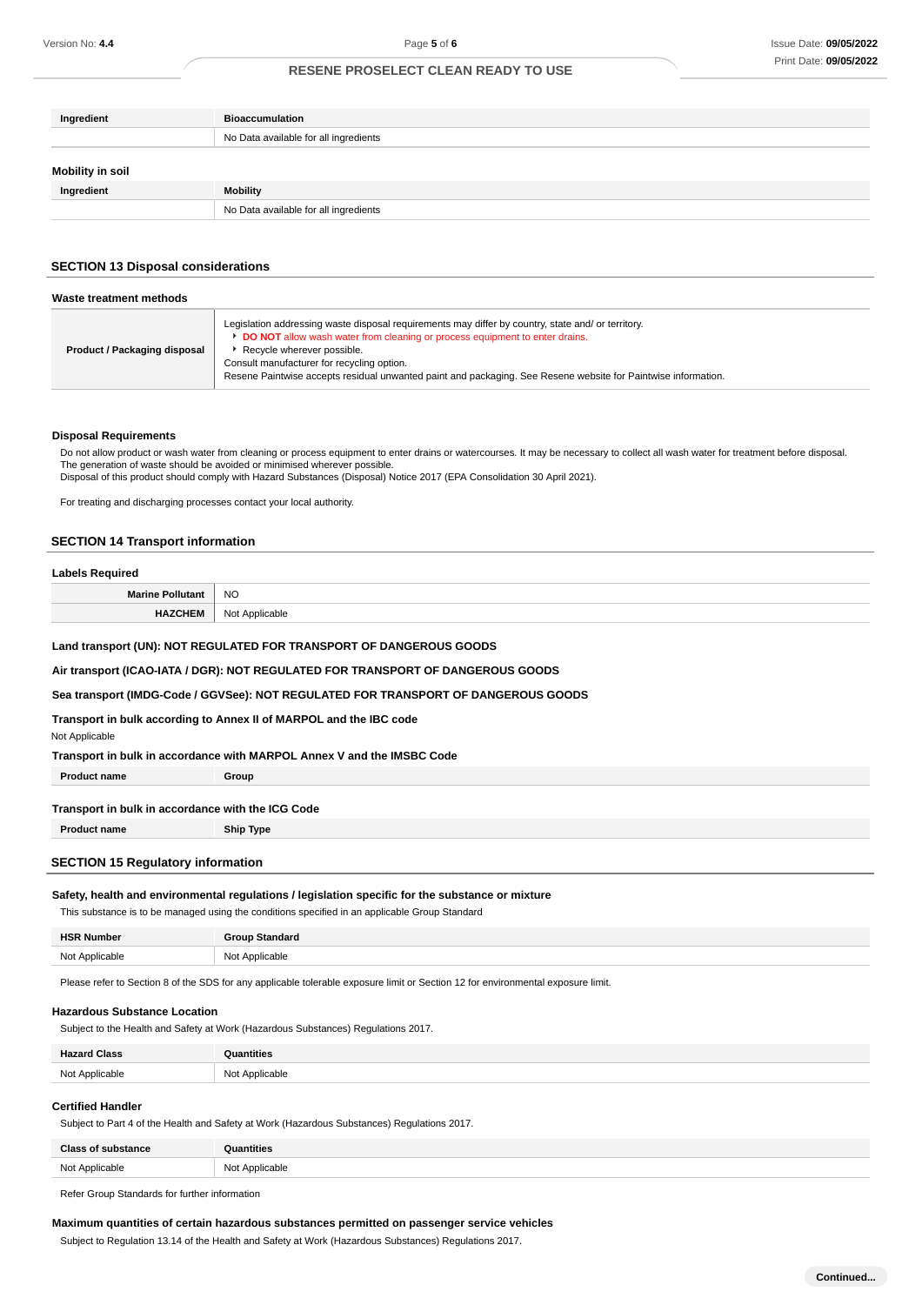| Ingredient              | <b>Bioaccumulation</b>                |
|-------------------------|---------------------------------------|
|                         | No Data available for all ingredients |
| <b>Mobility in soil</b> |                                       |
| Ingredient              | Mobility                              |
|                         | No Data available for all ingredients |

### **SECTION 13 Disposal considerations**

| Waste treatment methods      |                                                                                                                                                                                                                                                                                                                                                                                       |  |
|------------------------------|---------------------------------------------------------------------------------------------------------------------------------------------------------------------------------------------------------------------------------------------------------------------------------------------------------------------------------------------------------------------------------------|--|
| Product / Packaging disposal | Legislation addressing waste disposal requirements may differ by country, state and/ or territory.<br><b>DO NOT</b> allow wash water from cleaning or process equipment to enter drains.<br>Recycle wherever possible.<br>Consult manufacturer for recycling option.<br>Resene Paintwise accepts residual unwanted paint and packaging. See Resene website for Paintwise information. |  |

## **Disposal Requirements**

Do not allow product or wash water from cleaning or process equipment to enter drains or watercourses. It may be necessary to collect all wash water for treatment before disposal. The generation of waste should be avoided or minimised wherever possible.

Disposal of this product should comply with Hazard Substances (Disposal) Notice 2017 (EPA Consolidation 30 April 2021).

For treating and discharging processes contact your local authority.

#### **SECTION 14 Transport information**

#### **Labels Required**

**Marine Pollutant** NO **HAZCHEM** Not Applicable

#### **Land transport (UN): NOT REGULATED FOR TRANSPORT OF DANGEROUS GOODS**

**Air transport (ICAO-IATA / DGR): NOT REGULATED FOR TRANSPORT OF DANGEROUS GOODS**

#### **Sea transport (IMDG-Code / GGVSee): NOT REGULATED FOR TRANSPORT OF DANGEROUS GOODS**

**Transport in bulk according to Annex II of MARPOL and the IBC code**

#### Not Applicable

| Transport in bulk in accordance with MARPOL Annex V and the IMSBC Code |       |
|------------------------------------------------------------------------|-------|
| <b>Product name</b>                                                    | Group |
|                                                                        |       |
| Transport in bulk in accordance with the ICG Code                      |       |

**Product name Ship Type**

## **SECTION 15 Regulatory information**

#### **Safety, health and environmental regulations / legislation specific for the substance or mixture**

This substance is to be managed using the conditions specified in an applicable Group Standard

| <b>HSR Number</b> | <b>Group Standard</b> |
|-------------------|-----------------------|
| Not Applicable    | Not Applicable        |

Please refer to Section 8 of the SDS for any applicable tolerable exposure limit or Section 12 for environmental exposure limit.

#### **Hazardous Substance Location**

Subject to the Health and Safety at Work (Hazardous Substances) Regulations 2017.

| <b>Hazard Class</b> | <b>Quantities</b>               |
|---------------------|---------------------------------|
| Not Applicable      | Not Applicable<br>$\sim$ $\sim$ |

#### **Certified Handler**

Subject to Part 4 of the Health and Safety at Work (Hazardous Substances) Regulations 2017.

| <b>Class of substance</b> | antities       |
|---------------------------|----------------|
| Not Applicable            | Not Applicable |
|                           |                |

Refer Group Standards for further information

#### **Maximum quantities of certain hazardous substances permitted on passenger service vehicles**

Subject to Regulation 13.14 of the Health and Safety at Work (Hazardous Substances) Regulations 2017.